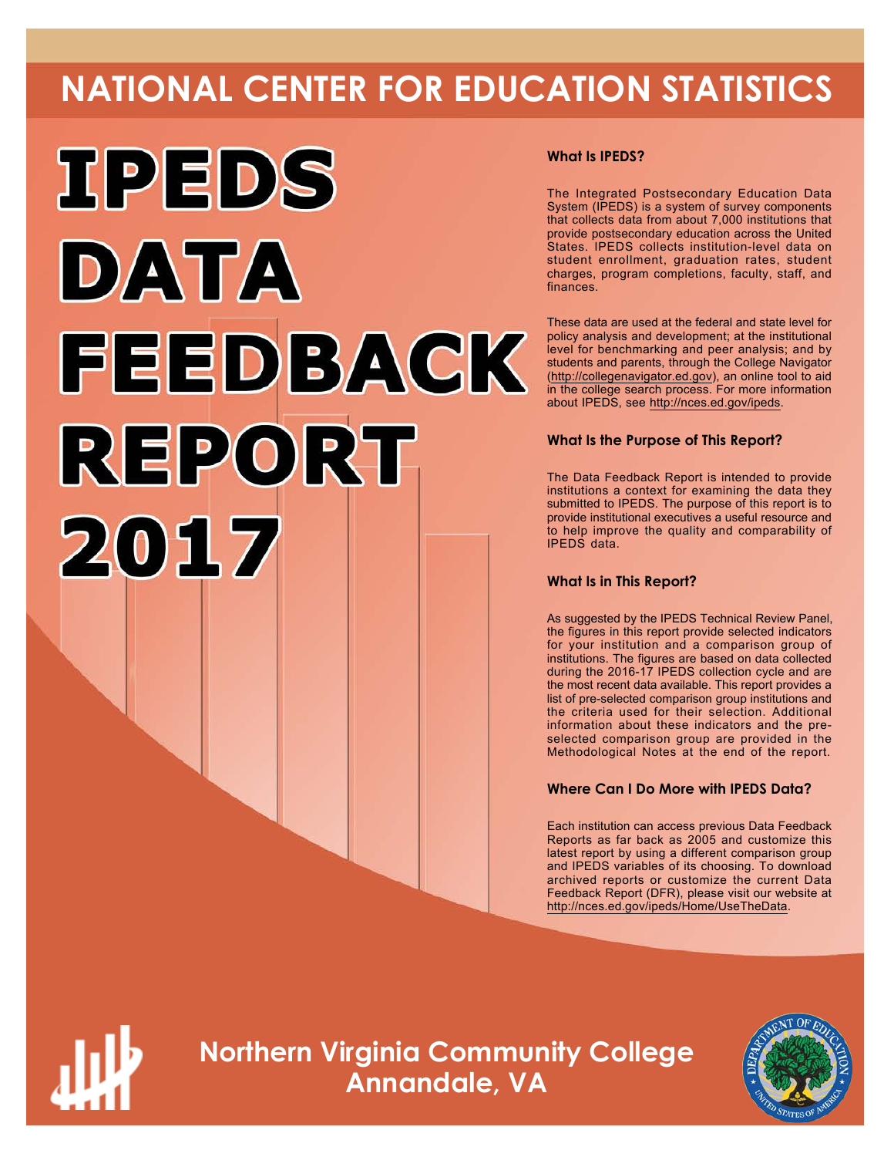# **NATIONAL CENTER FOR EDUCATION STATISTICS**



# **What Is IPEDS?**

The Integrated Postsecondary Education Data System (IPEDS) is a system of survey components that collects data from about 7,000 institutions that provide postsecondary education across the United States. IPEDS collects institution-level data on student enrollment, graduation rates, student charges, program completions, faculty, staff, and finances.

These data are used at the federal and state level for policy analysis and development; at the institutional level for benchmarking and peer analysis; and by students and parents, through the College Navigator ([http://collegenavigator.ed.gov\)](http://collegenavigator.ed.gov), an online tool to aid in the college search process. For more information about IPEDS, see [http://nces.ed.gov/ipeds.](http://nces.ed.gov/ipeds)

# **What Is the Purpose of This Report?**

The Data Feedback Report is intended to provide institutions a context for examining the data they submitted to IPEDS. The purpose of this report is to provide institutional executives a useful resource and to help improve the quality and comparability of IPEDS data.

# **What Is in This Report?**

As suggested by the IPEDS Technical Review Panel, the figures in this report provide selected indicators for your institution and a comparison group of institutions. The figures are based on data collected during the 2016-17 IPEDS collection cycle and are the most recent data available. This report provides a list of pre-selected comparison group institutions and the criteria used for their selection. Additional information about these indicators and the preselected comparison group are provided in the Methodological Notes at the end of the report.

# **Where Can I Do More with IPEDS Data?**

Each institution can access previous Data Feedback Reports as far back as 2005 and customize this latest report by using a different comparison group and IPEDS variables of its choosing. To download archived reports or customize the current Data Feedback Report (DFR), please visit our website at <http://nces.ed.gov/ipeds/Home/UseTheData>.



**Northern Virginia Community College Annandale, VA**

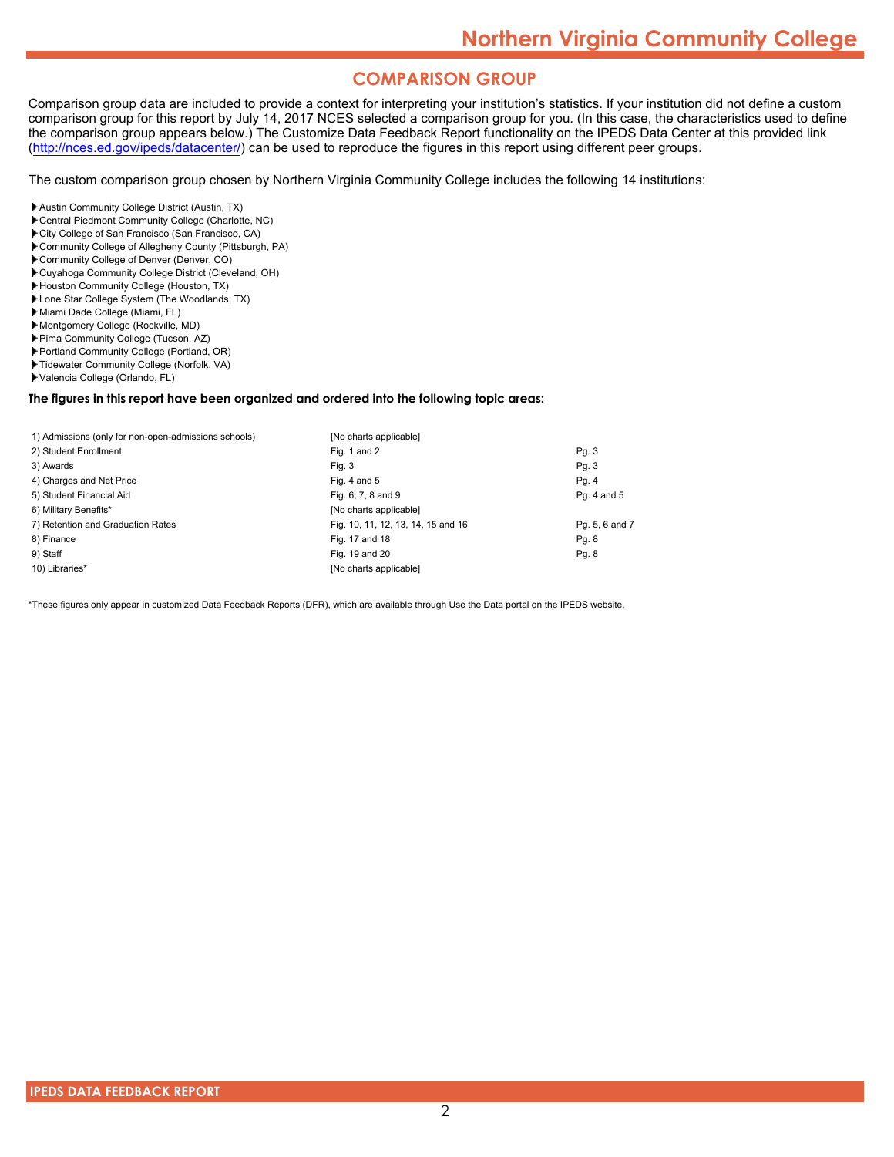# **COMPARISON GROUP**

Comparison group data are included to provide a context for interpreting your institution's statistics. If your institution did not define a custom comparison group for this report by July 14, 2017 NCES selected a comparison group for you. (In this case, the characteristics used to define the comparison group appears below.) The Customize Data Feedback Report functionality on the IPEDS Data Center at this provided link [\(http://nces.ed.gov/ipeds/datacenter/\)](http://nces.ed.gov/ipeds/datacenter/) can be used to reproduce the figures in this report using different peer groups.

The custom comparison group chosen by Northern Virginia Community College includes the following 14 institutions:

- Austin Community College District (Austin, TX)
- Central Piedmont Community College (Charlotte, NC)
- City College of San Francisco (San Francisco, CA)
- Community College of Allegheny County (Pittsburgh, PA)
- Community College of Denver (Denver, CO)
- Cuyahoga Community College District (Cleveland, OH)
- Houston Community College (Houston, TX)
- Lone Star College System (The Woodlands, TX)
- Miami Dade College (Miami, FL)
- Montgomery College (Rockville, MD)
- Pima Community College (Tucson, AZ)
- Portland Community College (Portland, OR)
- Tidewater Community College (Norfolk, VA)
- Valencia College (Orlando, FL)

#### **The figures in this report have been organized and ordered into the following topic areas:**

| 1) Admissions (only for non-open-admissions schools) | [No charts applicable]             |                |
|------------------------------------------------------|------------------------------------|----------------|
| 2) Student Enrollment                                | Fig. 1 and 2                       | Pg. 3          |
| 3) Awards                                            | Fig. 3                             | Pq. 3          |
| 4) Charges and Net Price                             | Fig. 4 and $5$                     | Pg. 4          |
| 5) Student Financial Aid                             | Fig. 6, 7, 8 and 9                 | Pg. 4 and 5    |
| 6) Military Benefits*                                | [No charts applicable]             |                |
| 7) Retention and Graduation Rates                    | Fig. 10, 11, 12, 13, 14, 15 and 16 | Pg. 5, 6 and 7 |
| 8) Finance                                           | Fig. 17 and 18                     | Pg. 8          |
| 9) Staff                                             | Fig. 19 and 20                     | Pg. 8          |
| 10) Libraries*                                       | [No charts applicable]             |                |

\*These figures only appear in customized Data Feedback Reports (DFR), which are available through Use the Data portal on the IPEDS website.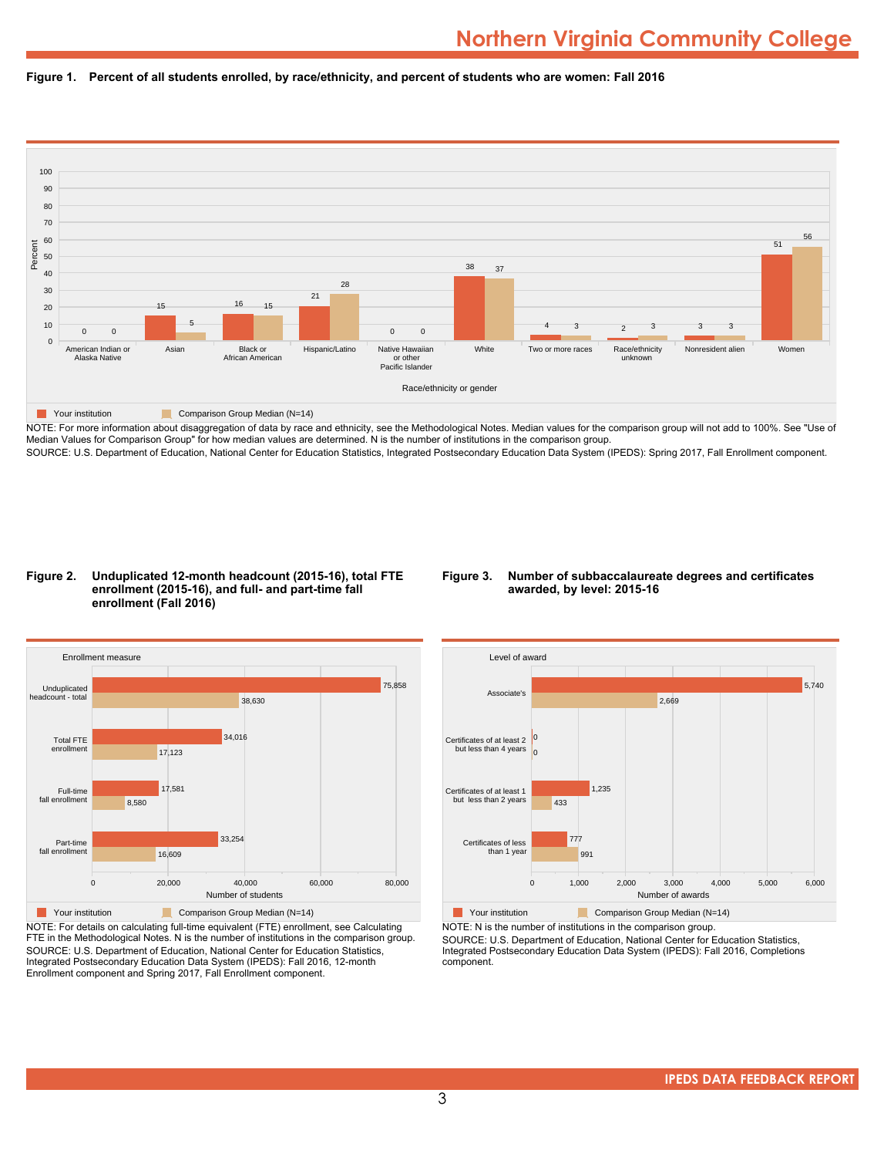



NOTE: For more information about disaggregation of data by race and ethnicity, see the Methodological Notes. Median values for the comparison group will not add to 100%. See "Use of Median Values for Comparison Group" for how median values are determined. N is the number of institutions in the comparison group. SOURCE: U.S. Department of Education, National Center for Education Statistics, Integrated Postsecondary Education Data System (IPEDS): Spring 2017, Fall Enrollment component.

#### **Figure 2. Unduplicated 12-month headcount (2015-16), total FTE enrollment (2015-16), and full- and part-time fall enrollment (Fall 2016)**

#### **Figure 3. Number of subbaccalaureate degrees and certificates awarded, by level: 2015-16**



NOTE: For details on calculating full-time equivalent (FTE) enrollment, see Calculating FTE in the Methodological Notes. N is the number of institutions in the comparison group. SOURCE: U.S. Department of Education, National Center for Education Statistics, Integrated Postsecondary Education Data System (IPEDS): Fall 2016, 12-month Enrollment component and Spring 2017, Fall Enrollment component.



**The Comparison Group Median (N=14)** Comparison Group Median (N=14) NOTE: N is the number of institutions in the comparison group.

SOURCE: U.S. Department of Education, National Center for Education Statistics, Integrated Postsecondary Education Data System (IPEDS): Fall 2016, Completions component.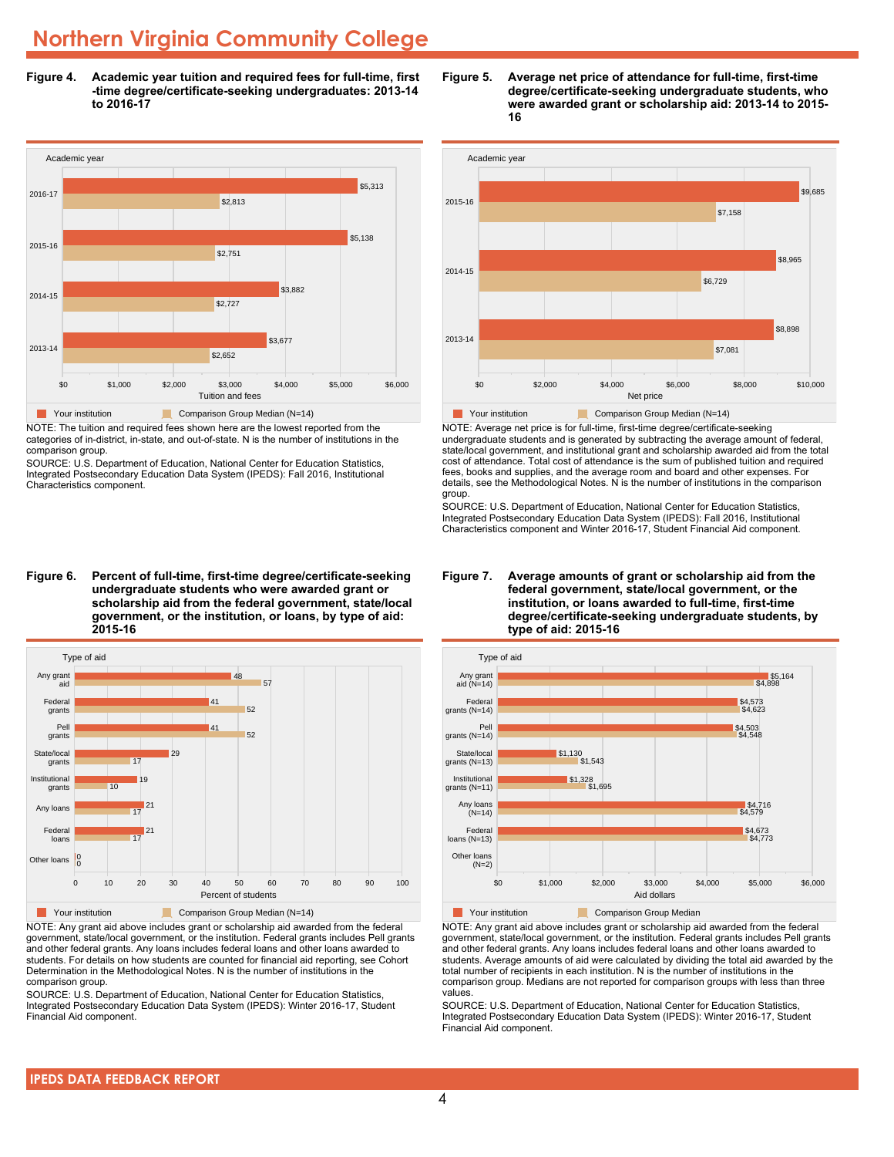**Figure 4. Academic year tuition and required fees for full-time, first -time degree/certificate-seeking undergraduates: 2013-14 to 2016-17**



NOTE: The tuition and required fees shown here are the lowest reported from the categories of in-district, in-state, and out-of-state. N is the number of institutions in the comparison group.

SOURCE: U.S. Department of Education, National Center for Education Statistics, Integrated Postsecondary Education Data System (IPEDS): Fall 2016, Institutional Characteristics component.

**Figure 6. Percent of full-time, first-time degree/certificate-seeking undergraduate students who were awarded grant or scholarship aid from the federal government, state/local government, or the institution, or loans, by type of aid: 2015-16**



NOTE: Any grant aid above includes grant or scholarship aid awarded from the federal government, state/local government, or the institution. Federal grants includes Pell grants and other federal grants. Any loans includes federal loans and other loans awarded to students. For details on how students are counted for financial aid reporting, see Cohort Determination in the Methodological Notes. N is the number of institutions in the comparison group.

SOURCE: U.S. Department of Education, National Center for Education Statistics, Integrated Postsecondary Education Data System (IPEDS): Winter 2016-17, Student Financial Aid component.





NOTE: Average net price is for full-time, first-time degree/certificate-seeking undergraduate students and is generated by subtracting the average amount of federal, state/local government, and institutional grant and scholarship awarded aid from the total cost of attendance. Total cost of attendance is the sum of published tuition and required fees, books and supplies, and the average room and board and other expenses. For details, see the Methodological Notes. N is the number of institutions in the comparison group.

SOURCE: U.S. Department of Education, National Center for Education Statistics, Integrated Postsecondary Education Data System (IPEDS): Fall 2016, Institutional Characteristics component and Winter 2016-17, Student Financial Aid component.





**The Comparison Group Median**<br> **Comparison Group Median** 

NOTE: Any grant aid above includes grant or scholarship aid awarded from the federal government, state/local government, or the institution. Federal grants includes Pell grants and other federal grants. Any loans includes federal loans and other loans awarded to students. Average amounts of aid were calculated by dividing the total aid awarded by the total number of recipients in each institution. N is the number of institutions in the comparison group. Medians are not reported for comparison groups with less than three values.

SOURCE: U.S. Department of Education, National Center for Education Statistics, Integrated Postsecondary Education Data System (IPEDS): Winter 2016-17, Student Financial Aid component.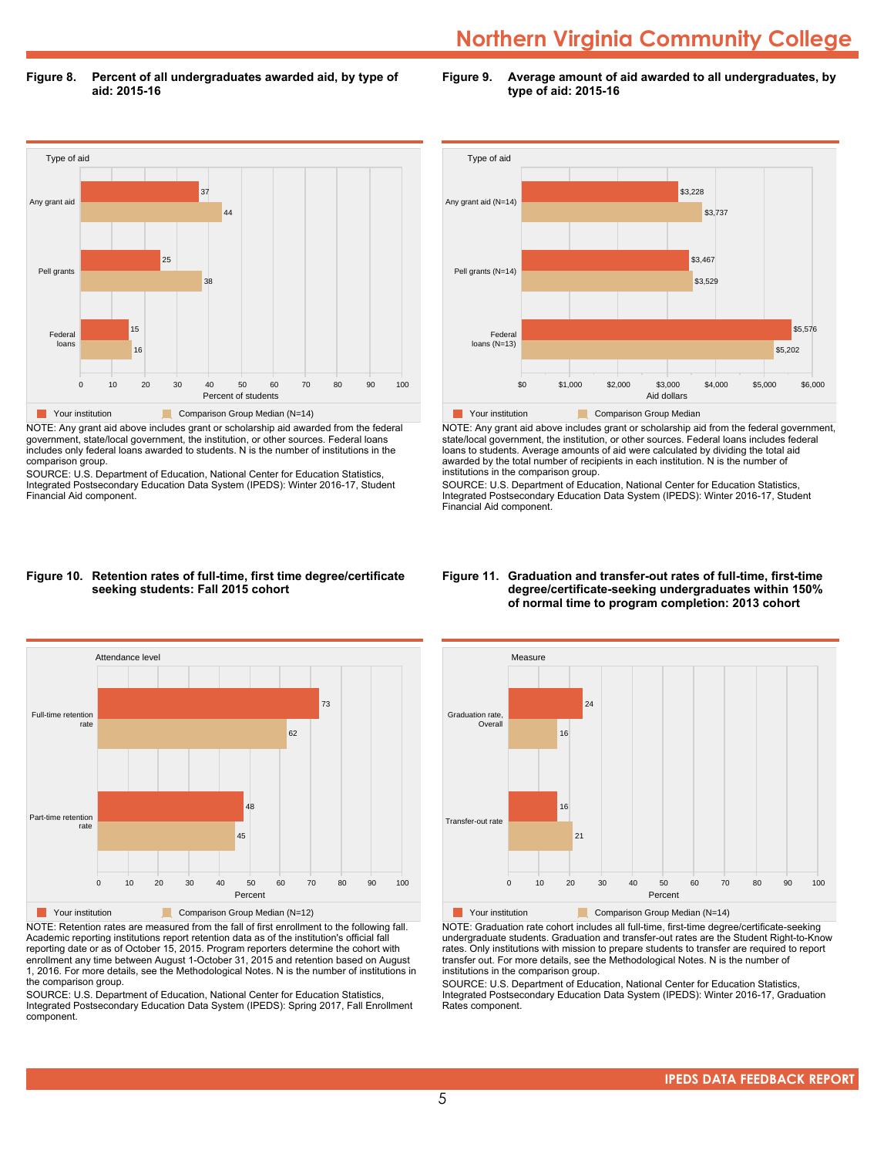**Figure 8. Percent of all undergraduates awarded aid, by type of aid: 2015-16**

**Figure 9. Average amount of aid awarded to all undergraduates, by type of aid: 2015-16**



NOTE: Any grant aid above includes grant or scholarship aid awarded from the federal government, state/local government, the institution, or other sources. Federal loans includes only federal loans awarded to students. N is the number of institutions in the comparison group.

SOURCE: U.S. Department of Education, National Center for Education Statistics, Integrated Postsecondary Education Data System (IPEDS): Winter 2016-17, Student Financial Aid component.



NOTE: Any grant aid above includes grant or scholarship aid from the federal government, state/local government, the institution, or other sources. Federal loans includes federal loans to students. Average amounts of aid were calculated by dividing the total aid awarded by the total number of recipients in each institution. N is the number of institutions in the comparison group.

SOURCE: U.S. Department of Education, National Center for Education Statistics, Integrated Postsecondary Education Data System (IPEDS): Winter 2016-17, Student Financial Aid component.

#### **Figure 10. Retention rates of full-time, first time degree/certificate seeking students: Fall 2015 cohort**



NOTE: Retention rates are measured from the fall of first enrollment to the following fall. Academic reporting institutions report retention data as of the institution's official fall reporting date or as of October 15, 2015. Program reporters determine the cohort with enrollment any time between August 1-October 31, 2015 and retention based on August 1, 2016. For more details, see the Methodological Notes. N is the number of institutions in the comparison group.

SOURCE: U.S. Department of Education, National Center for Education Statistics, Integrated Postsecondary Education Data System (IPEDS): Spring 2017, Fall Enrollment component.

#### **Figure 11. Graduation and transfer-out rates of full-time, first-time degree/certificate-seeking undergraduates within 150% of normal time to program completion: 2013 cohort**



NOTE: Graduation rate cohort includes all full-time, first-time degree/certificate-seeking undergraduate students. Graduation and transfer-out rates are the Student Right-to-Know rates. Only institutions with mission to prepare students to transfer are required to report transfer out. For more details, see the Methodological Notes. N is the number of institutions in the comparison group.

SOURCE: U.S. Department of Education, National Center for Education Statistics, Integrated Postsecondary Education Data System (IPEDS): Winter 2016-17, Graduation Rates component.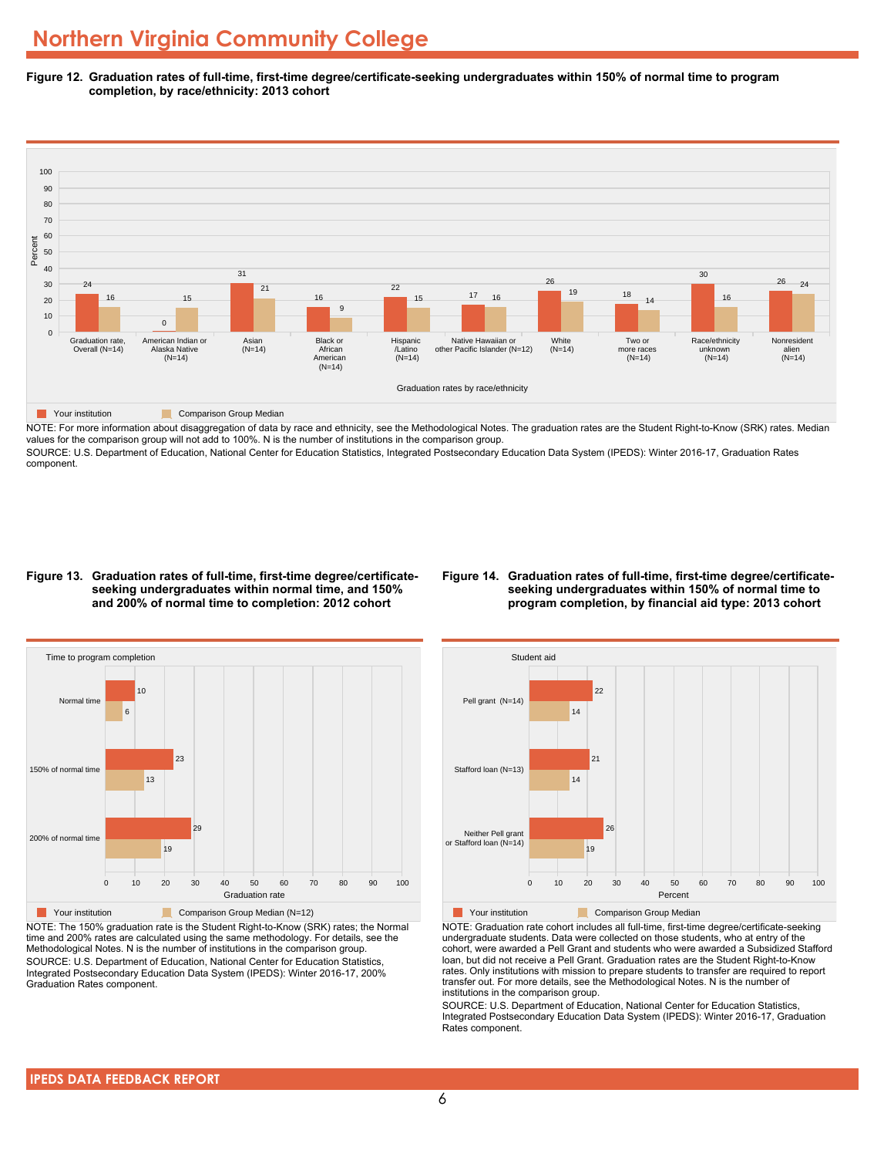**Figure 12. Graduation rates of full-time, first-time degree/certificate-seeking undergraduates within 150% of normal time to program completion, by race/ethnicity: 2013 cohort**



NOTE: For more information about disaggregation of data by race and ethnicity, see the Methodological Notes. The graduation rates are the Student Right-to-Know (SRK) rates. Median values for the comparison group will not add to 100%. N is the number of institutions in the comparison group.

SOURCE: U.S. Department of Education, National Center for Education Statistics, Integrated Postsecondary Education Data System (IPEDS): Winter 2016-17, Graduation Rates component.

#### **Figure 13. Graduation rates of full-time, first-time degree/certificateseeking undergraduates within normal time, and 150% and 200% of normal time to completion: 2012 cohort**

#### **Figure 14. Graduation rates of full-time, first-time degree/certificateseeking undergraduates within 150% of normal time to program completion, by financial aid type: 2013 cohort**



NOTE: The 150% graduation rate is the Student Right-to-Know (SRK) rates; the Normal time and 200% rates are calculated using the same methodology. For details, see the Methodological Notes. N is the number of institutions in the comparison group. SOURCE: U.S. Department of Education, National Center for Education Statistics, Integrated Postsecondary Education Data System (IPEDS): Winter 2016-17, 200% Graduation Rates component.



NOTE: Graduation rate cohort includes all full-time, first-time degree/certificate-seeking undergraduate students. Data were collected on those students, who at entry of the cohort, were awarded a Pell Grant and students who were awarded a Subsidized Stafford loan, but did not receive a Pell Grant. Graduation rates are the Student Right-to-Know rates. Only institutions with mission to prepare students to transfer are required to report transfer out. For more details, see the Methodological Notes. N is the number of institutions in the comparison group.

SOURCE: U.S. Department of Education, National Center for Education Statistics, Integrated Postsecondary Education Data System (IPEDS): Winter 2016-17, Graduation Rates component.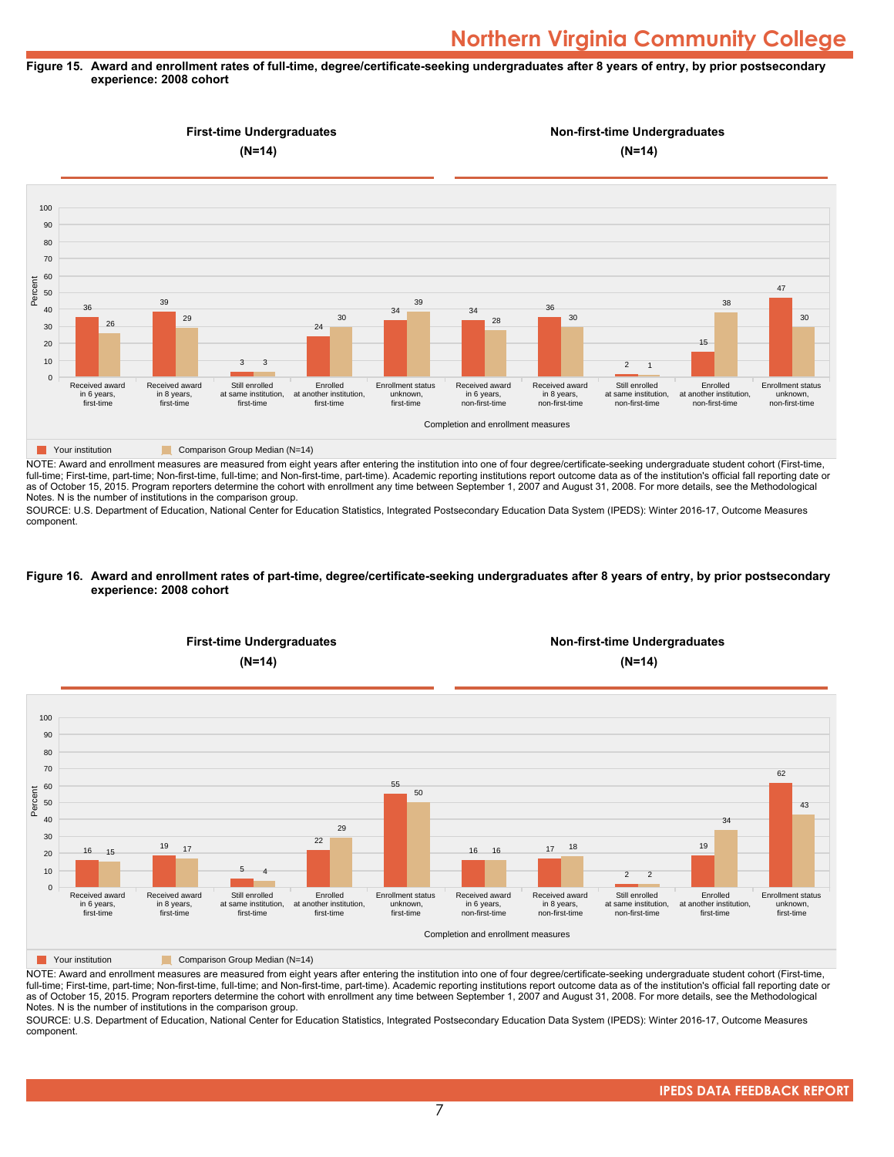#### **Figure 15. Award and enrollment rates of full-time, degree/certificate-seeking undergraduates after 8 years of entry, by prior postsecondary experience: 2008 cohort**



NOTE: Award and enrollment measures are measured from eight years after entering the institution into one of four degree/certificate-seeking undergraduate student cohort (First-time, full-time; First-time, part-time; Non-first-time, full-time; and Non-first-time, part-time). Academic reporting institutions report outcome data as of the institution's official fall reporting date or as of October 15, 2015. Program reporters determine the cohort with enrollment any time between September 1, 2007 and August 31, 2008. For more details, see the Methodological Notes. N is the number of institutions in the comparison group.

SOURCE: U.S. Department of Education, National Center for Education Statistics, Integrated Postsecondary Education Data System (IPEDS): Winter 2016-17, Outcome Measures component.

#### **Figure 16. Award and enrollment rates of part-time, degree/certificate-seeking undergraduates after 8 years of entry, by prior postsecondary experience: 2008 cohort**



NOTE: Award and enrollment measures are measured from eight years after entering the institution into one of four degree/certificate-seeking undergraduate student cohort (First-time, full-time; First-time, part-time; Non-first-time, full-time; and Non-first-time, part-time). Academic reporting institutions report outcome data as of the institution's official fall reporting date or as of October 15, 2015. Program reporters determine the cohort with enrollment any time between September 1, 2007 and August 31, 2008. For more details, see the Methodological Notes. N is the number of institutions in the comparison group.

SOURCE: U.S. Department of Education, National Center for Education Statistics, Integrated Postsecondary Education Data System (IPEDS): Winter 2016-17, Outcome Measures component.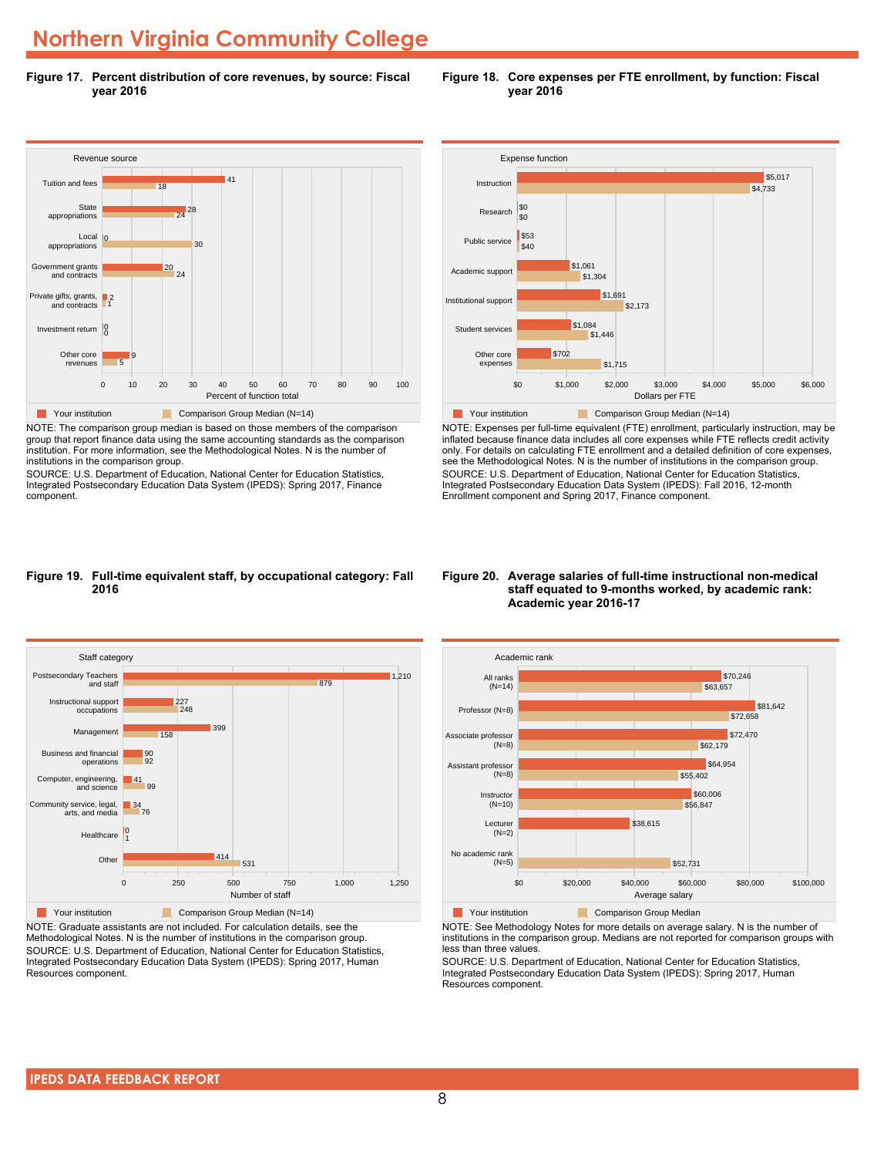**Figure 17. Percent distribution of core revenues, by source: Fiscal year 2016**



NOTE: The comparison group median is based on those members of the comparison group that report finance data using the same accounting standards as the comparison institution. For more information, see the Methodological Notes. N is the number of institutions in the comparison group.

SOURCE: U.S. Department of Education, National Center for Education Statistics, Integrated Postsecondary Education Data System (IPEDS): Spring 2017, Finance component.



\$0 \$1,000 \$2,000 \$3,000 \$4,000 \$5,000 \$6,000 Dollars per FTE

**Figure 18. Core expenses per FTE enrollment, by function: Fiscal year 2016**

# only. For details on calculating FTE enrollment and a detailed definition of core expenses, see the Methodological Notes. N is the number of institutions in the comparison group. SOURCE: U.S. Department of Education, National Center for Education Statistics, Integrated Postsecondary Education Data System (IPEDS): Fall 2016, 12-month Enrollment component and Spring 2017, Finance component.

NOTE: Expenses per full-time equivalent (FTE) enrollment, particularly instruction, may be inflated because finance data includes all core expenses while FTE reflects credit activity

**Table 7 Your institution** Comparison Group Median (N=14)

#### **Figure 19. Full-time equivalent staff, by occupational category: Fall 2016**



NOTE: Graduate assistants are not included. For calculation details, see the Methodological Notes. N is the number of institutions in the comparison group. SOURCE: U.S. Department of Education, National Center for Education Statistics, Integrated Postsecondary Education Data System (IPEDS): Spring 2017, Human Resources component.

#### **Figure 20. Average salaries of full-time instructional non-medical staff equated to 9-months worked, by academic rank: Academic year 2016-17**



NOTE: See Methodology Notes for more details on average salary. N is the number of institutions in the comparison group. Medians are not reported for comparison groups with less than three values.

SOURCE: U.S. Department of Education, National Center for Education Statistics, Integrated Postsecondary Education Data System (IPEDS): Spring 2017, Human Resources component.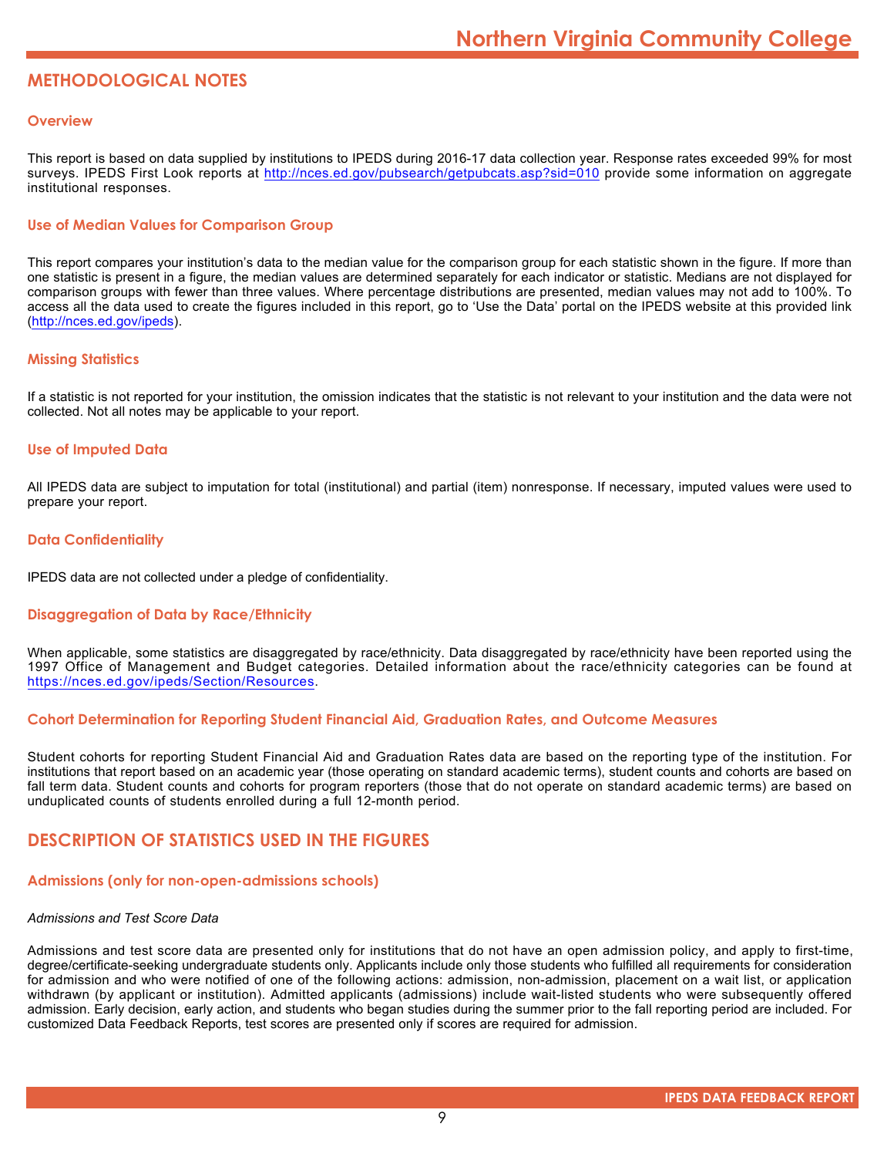# **METHODOLOGICAL NOTES**

### **Overview**

This report is based on data supplied by institutions to IPEDS during 2016-17 data collection year. Response rates exceeded 99% for most surveys. IPEDS First Look reports at <http://nces.ed.gov/pubsearch/getpubcats.asp?sid=010> provide some information on aggregate institutional responses.

# **Use of Median Values for Comparison Group**

This report compares your institution's data to the median value for the comparison group for each statistic shown in the figure. If more than one statistic is present in a figure, the median values are determined separately for each indicator or statistic. Medians are not displayed for comparison groups with fewer than three values. Where percentage distributions are presented, median values may not add to 100%. To access all the data used to create the figures included in this report, go to 'Use the Data' portal on the IPEDS website at this provided link (<http://nces.ed.gov/ipeds>).

### **Missing Statistics**

If a statistic is not reported for your institution, the omission indicates that the statistic is not relevant to your institution and the data were not collected. Not all notes may be applicable to your report.

# **Use of Imputed Data**

All IPEDS data are subject to imputation for total (institutional) and partial (item) nonresponse. If necessary, imputed values were used to prepare your report.

# **Data Confidentiality**

IPEDS data are not collected under a pledge of confidentiality.

# **Disaggregation of Data by Race/Ethnicity**

When applicable, some statistics are disaggregated by race/ethnicity. Data disaggregated by race/ethnicity have been reported using the 1997 Office of Management and Budget categories. Detailed information about the race/ethnicity categories can be found at <https://nces.ed.gov/ipeds/Section/Resources>.

#### **Cohort Determination for Reporting Student Financial Aid, Graduation Rates, and Outcome Measures**

Student cohorts for reporting Student Financial Aid and Graduation Rates data are based on the reporting type of the institution. For institutions that report based on an academic year (those operating on standard academic terms), student counts and cohorts are based on fall term data. Student counts and cohorts for program reporters (those that do not operate on standard academic terms) are based on unduplicated counts of students enrolled during a full 12-month period.

# **DESCRIPTION OF STATISTICS USED IN THE FIGURES**

# **Admissions (only for non-open-admissions schools)**

#### *Admissions and Test Score Data*

Admissions and test score data are presented only for institutions that do not have an open admission policy, and apply to first-time, degree/certificate-seeking undergraduate students only. Applicants include only those students who fulfilled all requirements for consideration for admission and who were notified of one of the following actions: admission, non-admission, placement on a wait list, or application withdrawn (by applicant or institution). Admitted applicants (admissions) include wait-listed students who were subsequently offered admission. Early decision, early action, and students who began studies during the summer prior to the fall reporting period are included. For customized Data Feedback Reports, test scores are presented only if scores are required for admission.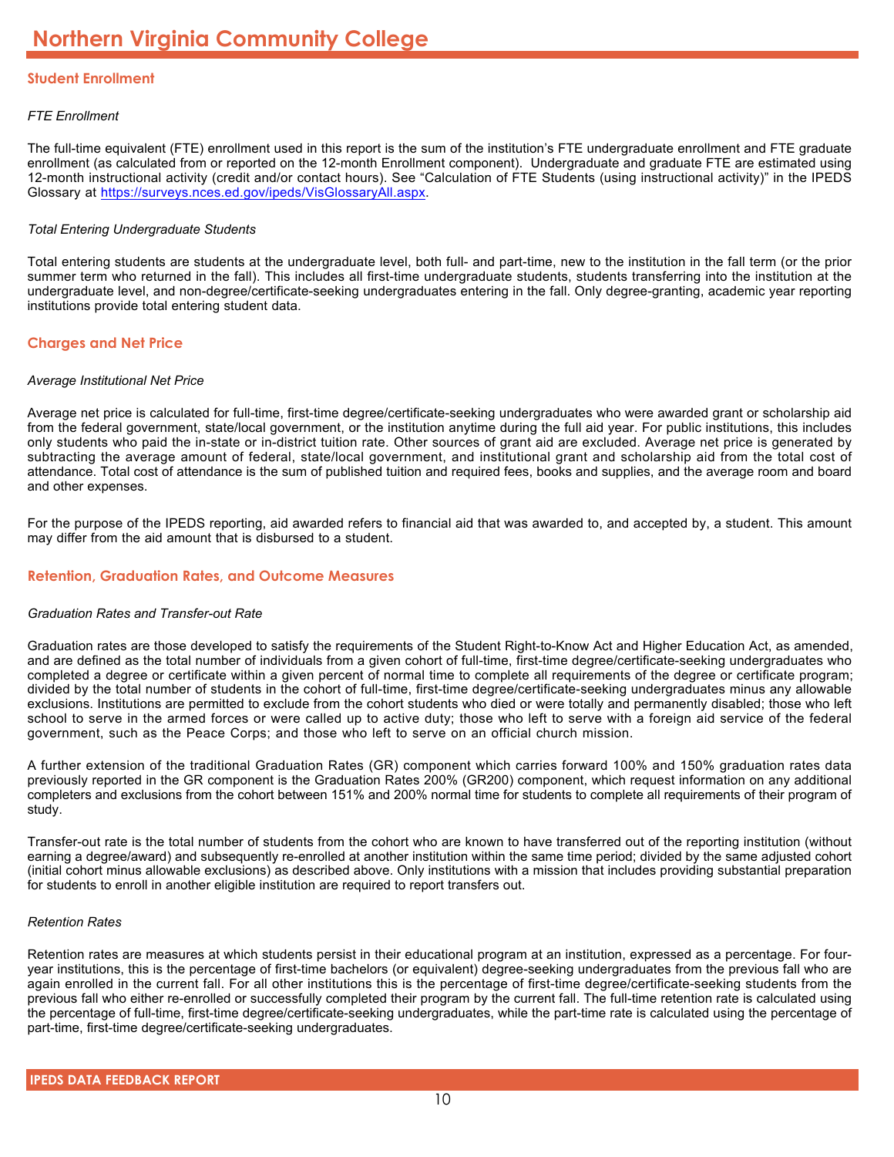# **Student Enrollment**

# *FTE Enrollment*

The full-time equivalent (FTE) enrollment used in this report is the sum of the institution's FTE undergraduate enrollment and FTE graduate enrollment (as calculated from or reported on the 12-month Enrollment component). Undergraduate and graduate FTE are estimated using 12-month instructional activity (credit and/or contact hours). See "Calculation of FTE Students (using instructional activity)" in the IPEDS Glossary at <https://surveys.nces.ed.gov/ipeds/VisGlossaryAll.aspx>.

# *Total Entering Undergraduate Students*

Total entering students are students at the undergraduate level, both full- and part-time, new to the institution in the fall term (or the prior summer term who returned in the fall). This includes all first-time undergraduate students, students transferring into the institution at the undergraduate level, and non-degree/certificate-seeking undergraduates entering in the fall. Only degree-granting, academic year reporting institutions provide total entering student data.

# **Charges and Net Price**

# *Average Institutional Net Price*

Average net price is calculated for full-time, first-time degree/certificate-seeking undergraduates who were awarded grant or scholarship aid from the federal government, state/local government, or the institution anytime during the full aid year. For public institutions, this includes only students who paid the in-state or in-district tuition rate. Other sources of grant aid are excluded. Average net price is generated by subtracting the average amount of federal, state/local government, and institutional grant and scholarship aid from the total cost of attendance. Total cost of attendance is the sum of published tuition and required fees, books and supplies, and the average room and board and other expenses.

For the purpose of the IPEDS reporting, aid awarded refers to financial aid that was awarded to, and accepted by, a student. This amount may differ from the aid amount that is disbursed to a student.

# **Retention, Graduation Rates, and Outcome Measures**

# *Graduation Rates and Transfer-out Rate*

Graduation rates are those developed to satisfy the requirements of the Student Right-to-Know Act and Higher Education Act, as amended, and are defined as the total number of individuals from a given cohort of full-time, first-time degree/certificate-seeking undergraduates who completed a degree or certificate within a given percent of normal time to complete all requirements of the degree or certificate program; divided by the total number of students in the cohort of full-time, first-time degree/certificate-seeking undergraduates minus any allowable exclusions. Institutions are permitted to exclude from the cohort students who died or were totally and permanently disabled; those who left school to serve in the armed forces or were called up to active duty; those who left to serve with a foreign aid service of the federal government, such as the Peace Corps; and those who left to serve on an official church mission.

A further extension of the traditional Graduation Rates (GR) component which carries forward 100% and 150% graduation rates data previously reported in the GR component is the Graduation Rates 200% (GR200) component, which request information on any additional completers and exclusions from the cohort between 151% and 200% normal time for students to complete all requirements of their program of study.

Transfer-out rate is the total number of students from the cohort who are known to have transferred out of the reporting institution (without earning a degree/award) and subsequently re-enrolled at another institution within the same time period; divided by the same adjusted cohort (initial cohort minus allowable exclusions) as described above. Only institutions with a mission that includes providing substantial preparation for students to enroll in another eligible institution are required to report transfers out.

#### *Retention Rates*

Retention rates are measures at which students persist in their educational program at an institution, expressed as a percentage. For fouryear institutions, this is the percentage of first-time bachelors (or equivalent) degree-seeking undergraduates from the previous fall who are again enrolled in the current fall. For all other institutions this is the percentage of first-time degree/certificate-seeking students from the previous fall who either re-enrolled or successfully completed their program by the current fall. The full-time retention rate is calculated using the percentage of full-time, first-time degree/certificate-seeking undergraduates, while the part-time rate is calculated using the percentage of part-time, first-time degree/certificate-seeking undergraduates.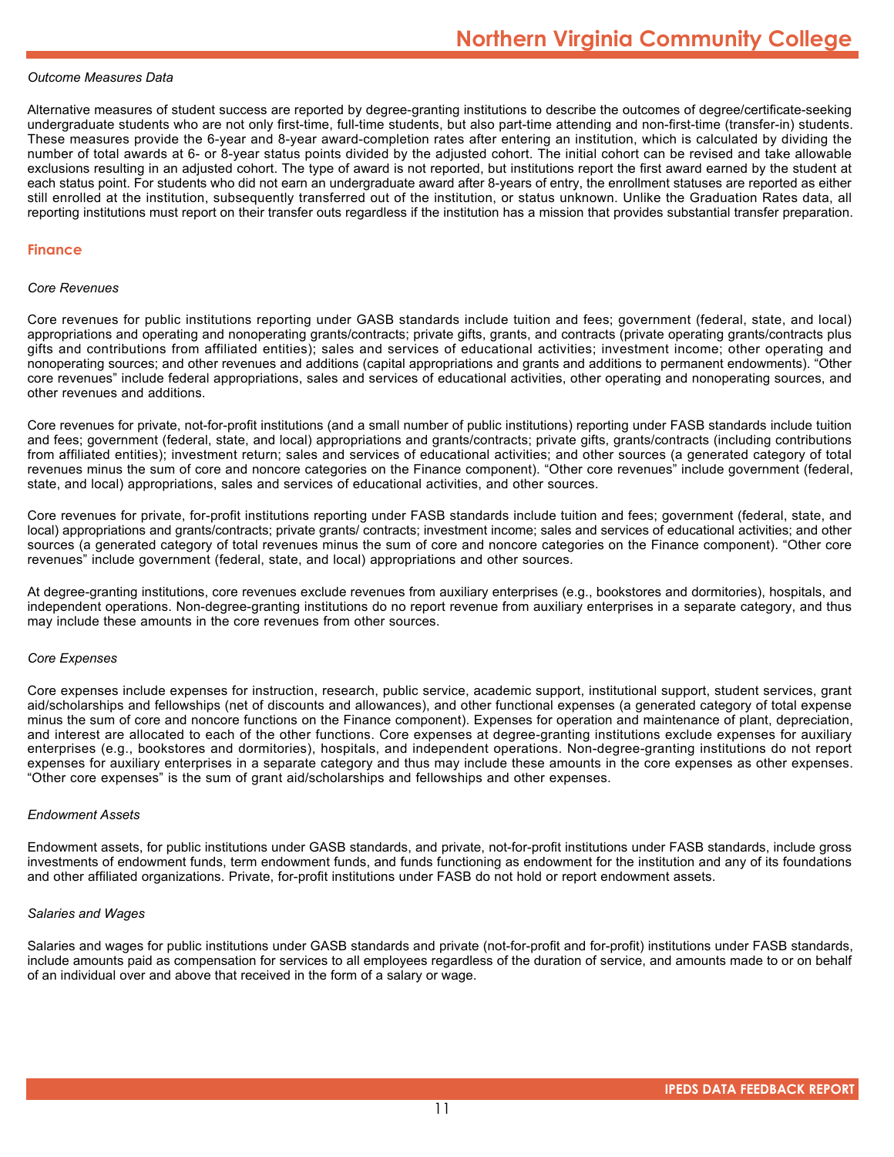#### *Outcome Measures Data*

Alternative measures of student success are reported by degree-granting institutions to describe the outcomes of degree/certificate-seeking undergraduate students who are not only first-time, full-time students, but also part-time attending and non-first-time (transfer-in) students. These measures provide the 6-year and 8-year award-completion rates after entering an institution, which is calculated by dividing the number of total awards at 6- or 8-year status points divided by the adjusted cohort. The initial cohort can be revised and take allowable exclusions resulting in an adjusted cohort. The type of award is not reported, but institutions report the first award earned by the student at each status point. For students who did not earn an undergraduate award after 8-years of entry, the enrollment statuses are reported as either still enrolled at the institution, subsequently transferred out of the institution, or status unknown. Unlike the Graduation Rates data, all reporting institutions must report on their transfer outs regardless if the institution has a mission that provides substantial transfer preparation.

#### **Finance**

#### *Core Revenues*

Core revenues for public institutions reporting under GASB standards include tuition and fees; government (federal, state, and local) appropriations and operating and nonoperating grants/contracts; private gifts, grants, and contracts (private operating grants/contracts plus gifts and contributions from affiliated entities); sales and services of educational activities; investment income; other operating and nonoperating sources; and other revenues and additions (capital appropriations and grants and additions to permanent endowments). "Other core revenues" include federal appropriations, sales and services of educational activities, other operating and nonoperating sources, and other revenues and additions.

Core revenues for private, not-for-profit institutions (and a small number of public institutions) reporting under FASB standards include tuition and fees; government (federal, state, and local) appropriations and grants/contracts; private gifts, grants/contracts (including contributions from affiliated entities); investment return; sales and services of educational activities; and other sources (a generated category of total revenues minus the sum of core and noncore categories on the Finance component). "Other core revenues" include government (federal, state, and local) appropriations, sales and services of educational activities, and other sources.

Core revenues for private, for-profit institutions reporting under FASB standards include tuition and fees; government (federal, state, and local) appropriations and grants/contracts; private grants/ contracts; investment income; sales and services of educational activities; and other sources (a generated category of total revenues minus the sum of core and noncore categories on the Finance component). "Other core revenues" include government (federal, state, and local) appropriations and other sources.

At degree-granting institutions, core revenues exclude revenues from auxiliary enterprises (e.g., bookstores and dormitories), hospitals, and independent operations. Non-degree-granting institutions do no report revenue from auxiliary enterprises in a separate category, and thus may include these amounts in the core revenues from other sources.

#### *Core Expenses*

Core expenses include expenses for instruction, research, public service, academic support, institutional support, student services, grant aid/scholarships and fellowships (net of discounts and allowances), and other functional expenses (a generated category of total expense minus the sum of core and noncore functions on the Finance component). Expenses for operation and maintenance of plant, depreciation, and interest are allocated to each of the other functions. Core expenses at degree-granting institutions exclude expenses for auxiliary enterprises (e.g., bookstores and dormitories), hospitals, and independent operations. Non-degree-granting institutions do not report expenses for auxiliary enterprises in a separate category and thus may include these amounts in the core expenses as other expenses. "Other core expenses" is the sum of grant aid/scholarships and fellowships and other expenses.

#### *Endowment Assets*

Endowment assets, for public institutions under GASB standards, and private, not-for-profit institutions under FASB standards, include gross investments of endowment funds, term endowment funds, and funds functioning as endowment for the institution and any of its foundations and other affiliated organizations. Private, for-profit institutions under FASB do not hold or report endowment assets.

#### *Salaries and Wages*

Salaries and wages for public institutions under GASB standards and private (not-for-profit and for-profit) institutions under FASB standards, include amounts paid as compensation for services to all employees regardless of the duration of service, and amounts made to or on behalf of an individual over and above that received in the form of a salary or wage.